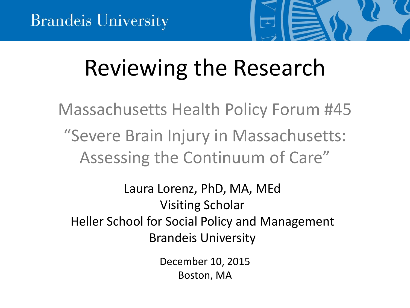

# Reviewing the Research

Massachusetts Health Policy Forum #45 "Severe Brain Injury in Massachusetts: Assessing the Continuum of Care"

Laura Lorenz, PhD, MA, MEd Visiting Scholar Heller School for Social Policy and Management Brandeis University

> December 10, 2015 Boston, MA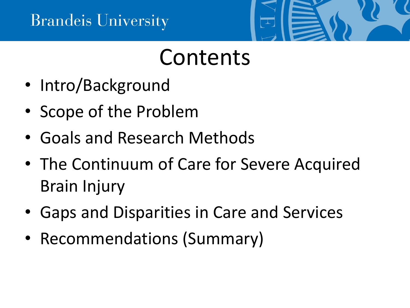#### **Brandeis University**



### Contents

- Intro/Background
- Scope of the Problem
- Goals and Research Methods
- The Continuum of Care for Severe Acquired Brain Injury
- Gaps and Disparities in Care and Services
- Recommendations (Summary)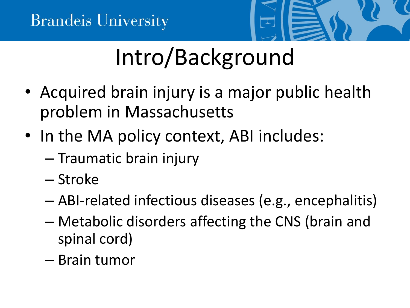

- Acquired brain injury is a major public health problem in Massachusetts
- In the MA policy context, ABI includes:
	- Traumatic brain injury
	- Stroke
	- ABI-related infectious diseases (e.g., encephalitis)
	- Metabolic disorders affecting the CNS (brain and spinal cord)
	- Brain tumor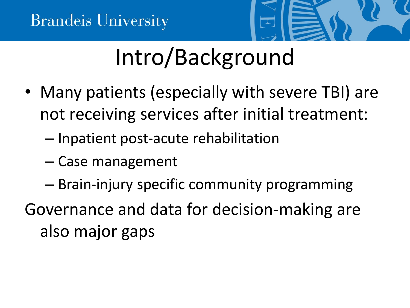

- Many patients (especially with severe TBI) are not receiving services after initial treatment:
	- Inpatient post-acute rehabilitation
	- Case management
	- Brain-injury specific community programming
- Governance and data for decision-making are also major gaps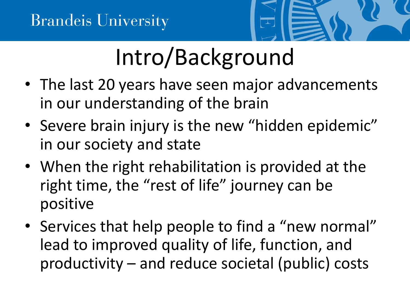

- The last 20 years have seen major advancements in our understanding of the brain
- Severe brain injury is the new "hidden epidemic" in our society and state
- When the right rehabilitation is provided at the right time, the "rest of life" journey can be positive
- Services that help people to find a "new normal" lead to improved quality of life, function, and productivity – and reduce societal (public) costs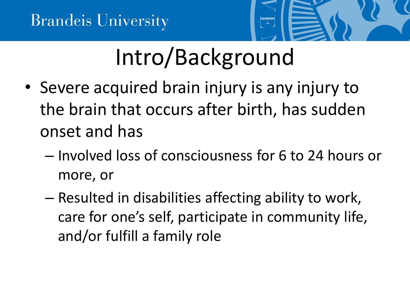

- Severe acquired brain injury is any injury to the brain that occurs after birth, has sudden onset and has
	- Involved loss of consciousness for 6 to 24 hours or more, or
	- Resulted in disabilities affecting ability to work, care for one's self, participate in community life, and/or fulfill a family role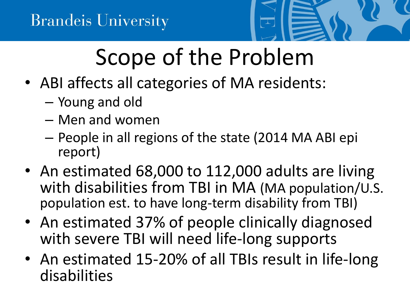

- ABI affects all categories of MA residents:
	- Young and old
	- Men and women
	- People in all regions of the state (2014 MA ABI epi report)
- An estimated 68,000 to 112,000 adults are living with disabilities from TBI in MA (MA population/U.S. population est. to have long-term disability from TBI)
- An estimated 37% of people clinically diagnosed with severe TBI will need life-long supports
- An estimated 15-20% of all TBIs result in life-long disabilities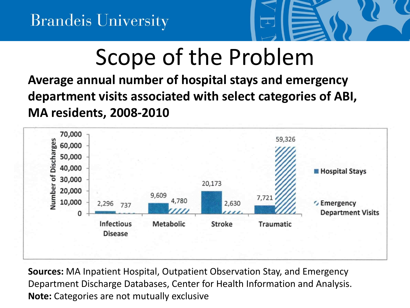

**Average annual number of hospital stays and emergency department visits associated with select categories of ABI, MA residents, 2008-2010**



**Sources:** MA Inpatient Hospital, Outpatient Observation Stay, and Emergency Department Discharge Databases, Center for Health Information and Analysis. **Note:** Categories are not mutually exclusive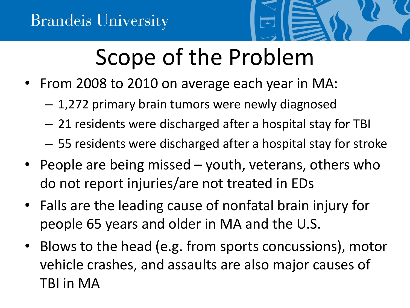

- From 2008 to 2010 on average each year in MA:
	- 1,272 primary brain tumors were newly diagnosed
	- 21 residents were discharged after a hospital stay for TBI
	- 55 residents were discharged after a hospital stay for stroke
- People are being missed youth, veterans, others who do not report injuries/are not treated in EDs
- Falls are the leading cause of nonfatal brain injury for people 65 years and older in MA and the U.S.
- Blows to the head (e.g. from sports concussions), motor vehicle crashes, and assaults are also major causes of TBI in MA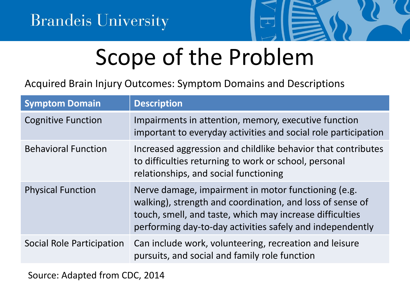

#### Acquired Brain Injury Outcomes: Symptom Domains and Descriptions

| <b>Symptom Domain</b>      | <b>Description</b>                                                                                                                                                                                                                        |
|----------------------------|-------------------------------------------------------------------------------------------------------------------------------------------------------------------------------------------------------------------------------------------|
| <b>Cognitive Function</b>  | Impairments in attention, memory, executive function<br>important to everyday activities and social role participation                                                                                                                    |
| <b>Behavioral Function</b> | Increased aggression and childlike behavior that contributes<br>to difficulties returning to work or school, personal<br>relationships, and social functioning                                                                            |
| <b>Physical Function</b>   | Nerve damage, impairment in motor functioning (e.g.<br>walking), strength and coordination, and loss of sense of<br>touch, smell, and taste, which may increase difficulties<br>performing day-to-day activities safely and independently |
| Social Role Participation  | Can include work, volunteering, recreation and leisure<br>pursuits, and social and family role function                                                                                                                                   |

Source: Adapted from CDC, 2014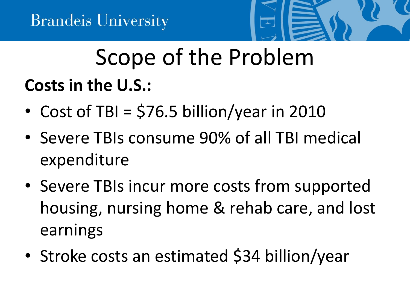

# Scope of the Problem **Costs in the U.S.:**

- Cost of TBI =  $$76.5$  billion/year in 2010
- Severe TBIs consume 90% of all TBI medical expenditure
- Severe TBIs incur more costs from supported housing, nursing home & rehab care, and lost earnings
- Stroke costs an estimated \$34 billion/year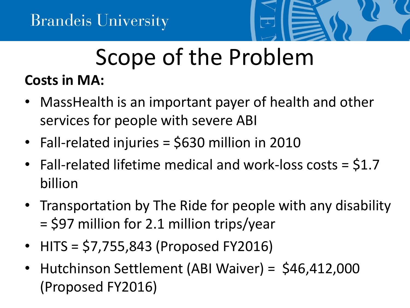

### Scope of the Problem **Costs in MA:**

- MassHealth is an important payer of health and other services for people with severe ABI
- Fall-related injuries = \$630 million in 2010
- Fall-related lifetime medical and work-loss costs = \$1.7 billion
- Transportation by The Ride for people with any disability = \$97 million for 2.1 million trips/year
- HITS = \$7,755,843 (Proposed FY2016)
- Hutchinson Settlement (ABI Waiver) = \$46,412,000 (Proposed FY2016)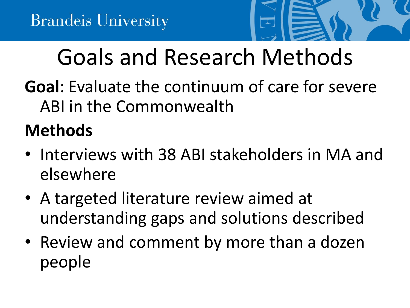

# Goals and Research Methods

**Goal**: Evaluate the continuum of care for severe ABI in the Commonwealth

#### **Methods**

- Interviews with 38 ABI stakeholders in MA and elsewhere
- A targeted literature review aimed at understanding gaps and solutions described
- Review and comment by more than a dozen people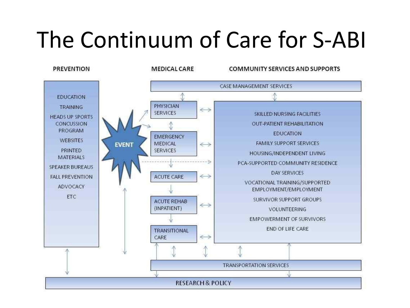# The Continuum of Care for S-ABI

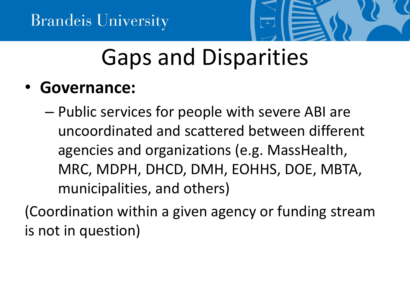

#### • **Governance:**

– Public services for people with severe ABI are uncoordinated and scattered between different agencies and organizations (e.g. MassHealth, MRC, MDPH, DHCD, DMH, EOHHS, DOE, MBTA, municipalities, and others)

(Coordination within a given agency or funding stream is not in question)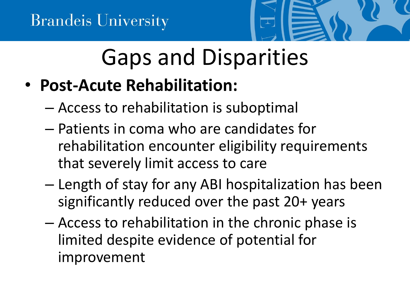

- **Post-Acute Rehabilitation:**
	- Access to rehabilitation is suboptimal
	- Patients in coma who are candidates for rehabilitation encounter eligibility requirements that severely limit access to care
	- Length of stay for any ABI hospitalization has been significantly reduced over the past 20+ years
	- Access to rehabilitation in the chronic phase is limited despite evidence of potential for improvement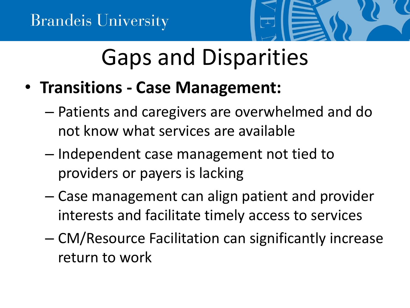

- **Transitions - Case Management:**
	- Patients and caregivers are overwhelmed and do not know what services are available
	- Independent case management not tied to providers or payers is lacking
	- Case management can align patient and provider interests and facilitate timely access to services
	- CM/Resource Facilitation can significantly increase return to work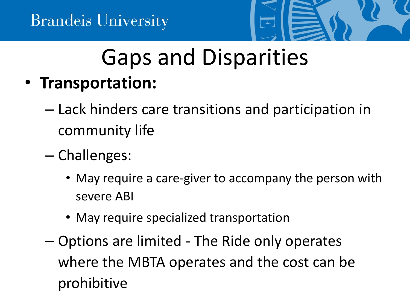

- **Transportation:**
	- Lack hinders care transitions and participation in community life
	- Challenges:
		- May require a care-giver to accompany the person with severe ABI
		- May require specialized transportation
	- Options are limited The Ride only operates where the MBTA operates and the cost can be prohibitive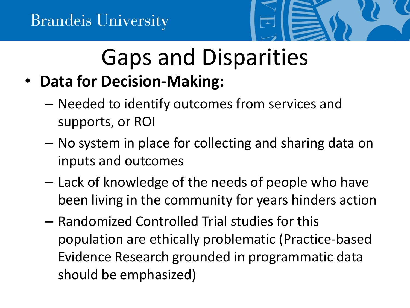

### Gaps and Disparities • **Data for Decision-Making:**

- Needed to identify outcomes from services and supports, or ROI
- No system in place for collecting and sharing data on inputs and outcomes
- Lack of knowledge of the needs of people who have been living in the community for years hinders action
- Randomized Controlled Trial studies for this population are ethically problematic (Practice-based Evidence Research grounded in programmatic data should be emphasized)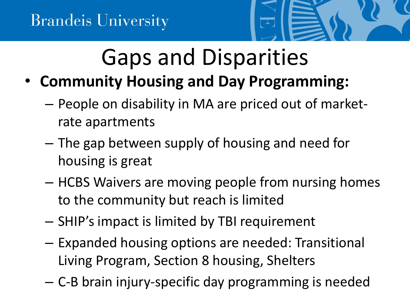

- **Community Housing and Day Programming:**
	- People on disability in MA are priced out of marketrate apartments
	- The gap between supply of housing and need for housing is great
	- HCBS Waivers are moving people from nursing homes to the community but reach is limited
	- SHIP's impact is limited by TBI requirement
	- Expanded housing options are needed: Transitional Living Program, Section 8 housing, Shelters
	- C-B brain injury-specific day programming is needed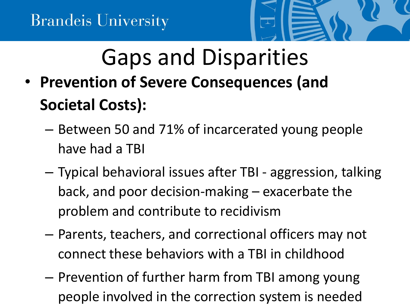

### Gaps and Disparities • **Prevention of Severe Consequences (and Societal Costs):**

- Between 50 and 71% of incarcerated young people have had a TBI
- Typical behavioral issues after TBI aggression, talking back, and poor decision-making – exacerbate the problem and contribute to recidivism
- Parents, teachers, and correctional officers may not connect these behaviors with a TBI in childhood
- Prevention of further harm from TBI among young people involved in the correction system is needed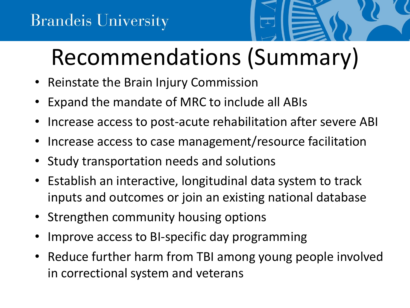# Recommendations (Summary)

- Reinstate the Brain Injury Commission
- Expand the mandate of MRC to include all ABIs
- Increase access to post-acute rehabilitation after severe ABI
- Increase access to case management/resource facilitation
- Study transportation needs and solutions
- Establish an interactive, longitudinal data system to track inputs and outcomes or join an existing national database
- Strengthen community housing options
- Improve access to BI-specific day programming
- Reduce further harm from TBI among young people involved in correctional system and veterans